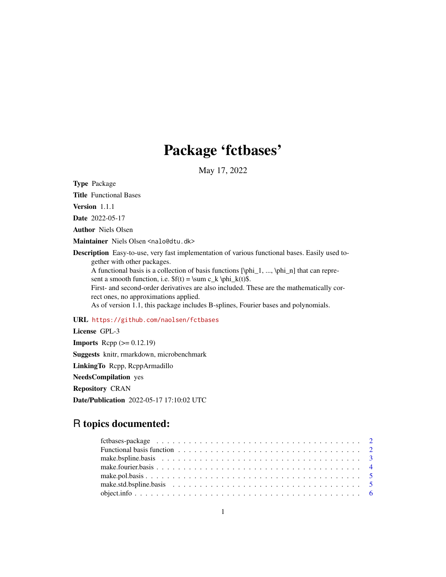## Package 'fctbases'

May 17, 2022

Type Package

Title Functional Bases

Version 1.1.1

Date 2022-05-17

Author Niels Olsen

Maintainer Niels Olsen <nalo@dtu.dk>

Description Easy-to-use, very fast implementation of various functional bases. Easily used together with other packages. A functional basis is a collection of basis functions  $[\phi_1, ..., \phi_n]$  that can represent a smooth function, i.e.  $f(t) = \sum c_k \phi_k(t)$ . First- and second-order derivatives are also included. These are the mathematically correct ones, no approximations applied. As of version 1.1, this package includes B-splines, Fourier bases and polynomials.

#### URL <https://github.com/naolsen/fctbases>

License GPL-3 **Imports** Rcpp  $(>= 0.12.19)$ Suggests knitr, rmarkdown, microbenchmark LinkingTo Rcpp, RcppArmadillo NeedsCompilation yes Repository CRAN Date/Publication 2022-05-17 17:10:02 UTC

### R topics documented: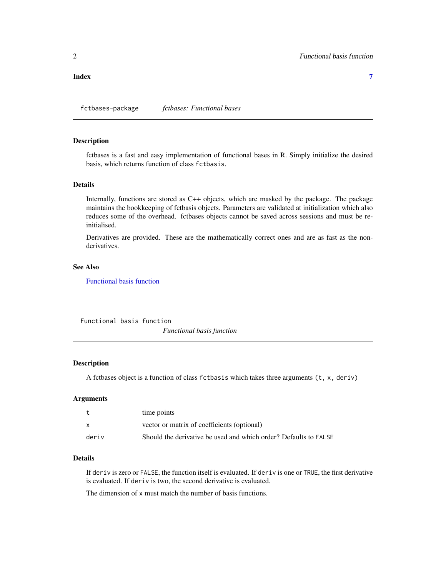<span id="page-1-0"></span>**Index** [7](#page-6-0) **7** 

fctbases-package *fctbases: Functional bases*

#### Description

fctbases is a fast and easy implementation of functional bases in R. Simply initialize the desired basis, which returns function of class fctbasis.

#### Details

Internally, functions are stored as C++ objects, which are masked by the package. The package maintains the bookkeeping of fctbasis objects. Parameters are validated at initialization which also reduces some of the overhead. fctbases objects cannot be saved across sessions and must be reinitialised.

Derivatives are provided. These are the mathematically correct ones and are as fast as the nonderivatives.

#### See Also

[Functional basis function](#page-1-1)

<span id="page-1-1"></span>Functional basis function *Functional basis function*

#### Description

A fctbases object is a function of class fctbasis which takes three arguments (t, x, deriv)

#### Arguments

| t            | time points                                                      |
|--------------|------------------------------------------------------------------|
| $\mathsf{x}$ | vector or matrix of coefficients (optional)                      |
| deriv        | Should the derivative be used and which order? Defaults to FALSE |

#### Details

If deriv is zero or FALSE, the function itself is evaluated. If deriv is one or TRUE, the first derivative is evaluated. If deriv is two, the second derivative is evaluated.

The dimension of x must match the number of basis functions.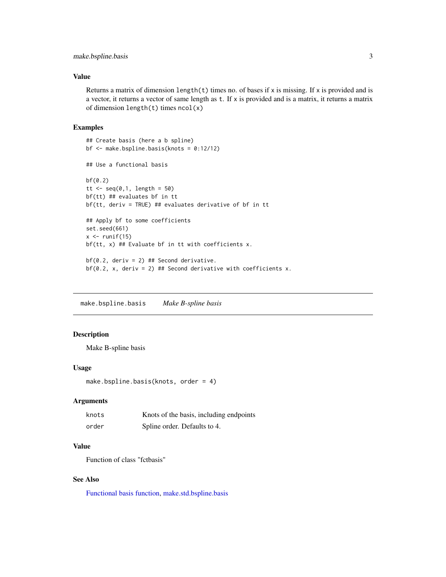#### <span id="page-2-0"></span>make.bspline.basis 3

#### Value

Returns a matrix of dimension length(t) times no. of bases if x is missing. If x is provided and is a vector, it returns a vector of same length as t. If x is provided and is a matrix, it returns a matrix of dimension length $(t)$  times ncol $(x)$ 

#### Examples

```
## Create basis (here a b spline)
bf <- make.bspline.basis(knots = 0:12/12)
## Use a functional basis
bf(0.2)
tt <- seq(0,1, length = 50)bf(tt) ## evaluates bf in tt
bf(tt, deriv = TRUE) ## evaluates derivative of bf in tt
## Apply bf to some coefficients
set.seed(661)
x \leftarrow runif(15)bf(tt, x) ## Evaluate bf in tt with coefficients x.
bf(0.2, deriv = 2) ## Second derivative.
bf(0.2, x, deriv = 2) ## Second derivative with coefficients x.
```
<span id="page-2-1"></span>make.bspline.basis *Make B-spline basis*

#### Description

Make B-spline basis

#### Usage

```
make.bspline.basis(knots, order = 4)
```
#### Arguments

| knots | Knots of the basis, including endpoints |
|-------|-----------------------------------------|
| order | Spline order. Defaults to 4.            |

#### Value

Function of class "fctbasis"

#### See Also

[Functional basis function,](#page-1-1) [make.std.bspline.basis](#page-4-1)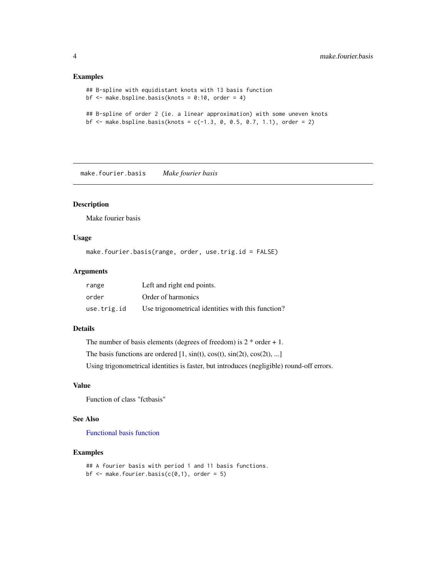#### Examples

```
## B-spline with equidistant knots with 13 basis function
bf \leq make.bspline.basis(knots = 0:10, order = 4)
## B-spline of order 2 (ie. a linear approximation) with some uneven knots
bf \le make.bspline.basis(knots = c(-1.3, 0, 0.5, 0.7, 1.1), order = 2)
```
make.fourier.basis *Make fourier basis*

#### Description

Make fourier basis

#### Usage

make.fourier.basis(range, order, use.trig.id = FALSE)

#### Arguments

| range       | Left and right end points.                         |
|-------------|----------------------------------------------------|
| order       | Order of harmonics                                 |
| use.trig.id | Use trigonometrical identities with this function? |

#### Details

The number of basis elements (degrees of freedom) is  $2 *$  order  $+ 1$ . The basis functions are ordered  $[1, sin(t), cos(t), sin(2t), cos(2t), ...]$ Using trigonometrical identities is faster, but introduces (negligible) round-off errors.

#### Value

Function of class "fctbasis"

#### See Also

[Functional basis function](#page-1-1)

#### Examples

```
## A fourier basis with period 1 and 11 basis functions.
bf \leq make.fourier.basis(c(0,1), order = 5)
```
<span id="page-3-0"></span>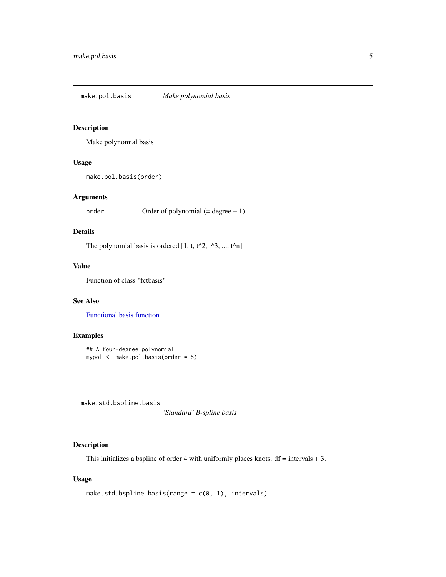<span id="page-4-0"></span>make.pol.basis *Make polynomial basis*

#### Description

Make polynomial basis

#### Usage

```
make.pol.basis(order)
```
#### Arguments

order Order of polynomial (= degree + 1)

#### Details

The polynomial basis is ordered  $[1, t, t^2, t^3, ..., t^n]$ 

#### Value

Function of class "fctbasis"

#### See Also

[Functional basis function](#page-1-1)

#### Examples

```
## A four-degree polynomial
mypol <- make.pol.basis(order = 5)
```
<span id="page-4-1"></span>make.std.bspline.basis

*'Standard' B-spline basis*

#### Description

This initializes a bspline of order 4 with uniformly places knots.  $df = intervals + 3$ .

#### Usage

```
make.std.bspline.basis(range = c(\theta, 1), intervals)
```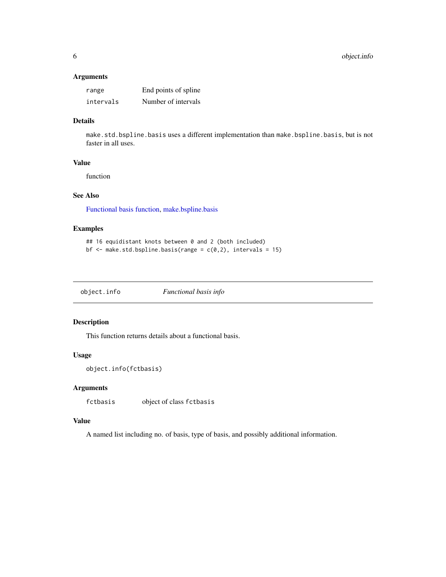#### <span id="page-5-0"></span>Arguments

| range     | End points of spline |
|-----------|----------------------|
| intervals | Number of intervals  |

#### Details

make.std.bspline.basis uses a different implementation than make.bspline.basis, but is not faster in all uses.

#### Value

function

#### See Also

[Functional basis function,](#page-1-1) [make.bspline.basis](#page-2-1)

#### Examples

```
## 16 equidistant knots between 0 and 2 (both included)
bf \leq make.std.bspline.basis(range = c(\emptyset, 2), intervals = 15)
```

| object.info | Functional basis info |
|-------------|-----------------------|
|             |                       |

#### Description

This function returns details about a functional basis.

#### Usage

```
object.info(fctbasis)
```
#### Arguments

fctbasis object of class fctbasis

#### Value

A named list including no. of basis, type of basis, and possibly additional information.